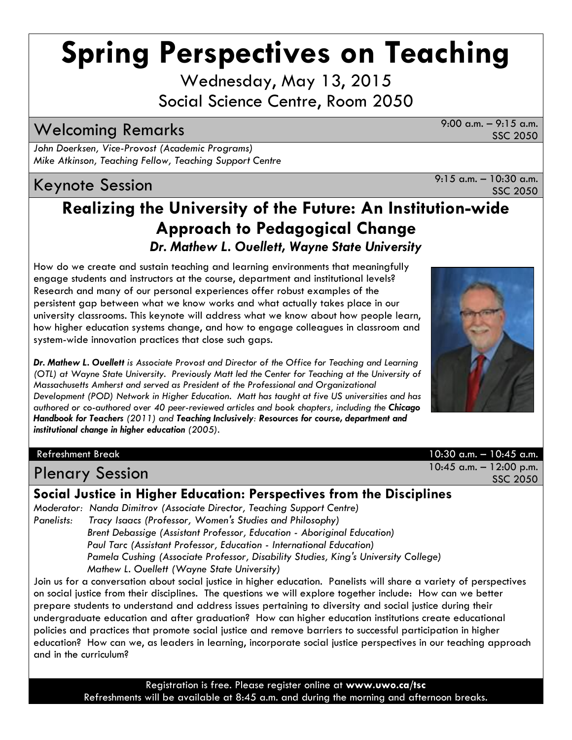# **Spring Perspectives on Teaching**

Wednesday, May 13, 2015 Social Science Centre, Room 2050

# Welcoming Remarks 9:00 a.m. – 9:15 a.m.

*John Doerksen, Vice-Provost (Academic Programs) Mike Atkinson, Teaching Fellow, Teaching Support Centre*

# Keynote Session  $\overline{X}$  a.m. – 10:30 a.m.

SSC 2050

### **Realizing the University of the Future: An Institution-wide Approach to Pedagogical Change** *Dr. Mathew L. Ouellett, Wayne State University*

How do we create and sustain teaching and learning environments that meaningfully engage students and instructors at the course, department and institutional levels? Research and many of our personal experiences offer robust examples of the persistent gap between what we know works and what actually takes place in our university classrooms. This keynote will address what we know about how people learn, how higher education systems change, and how to engage colleagues in classroom and system-wide innovation practices that close such gaps.

*Dr. Mathew L. Ouellett is Associate Provost and Director of the Office for Teaching and Learning (OTL) at Wayne State University. Previously Matt led the Center for Teaching at the University of Massachusetts Amherst and served as President of the Professional and Organizational Development (POD) Network in Higher Education. Matt has taught at five US universities and has authored or co-authored over 40 peer-reviewed articles and book chapters, including the Chicago Handbook for Teachers (2011) and Teaching Inclusively: Resources for course, department and institutional change in higher education (2005).*

# Plenary Session 10:45 a.m. – 12:00 p.m.

**Social Justice in Higher Education: Perspectives from the Disciplines**

*Moderator: Nanda Dimitrov (Associate Director, Teaching Support Centre) Panelists: Tracy Isaacs (Professor, Women's Studies and Philosophy) Brent Debassige (Assistant Professor, Education - Aboriginal Education) Paul Tarc (Assistant Professor, Education - International Education) Pamela Cushing (Associate Professor, Disability Studies, King's University College) Mathew L. Ouellett (Wayne State University)*

Join us for a conversation about social justice in higher education. Panelists will share a variety of perspectives on social justice from their disciplines. The questions we will explore together include: How can we better prepare students to understand and address issues pertaining to diversity and social justice during their undergraduate education and after graduation? How can higher education institutions create educational policies and practices that promote social justice and remove barriers to successful participation in higher education? How can we, as leaders in learning, incorporate social justice perspectives in our teaching approach and in the curriculum?

> Registration is free. Please register online at **www.uwo.ca/tsc**  Refreshments will be available at 8:45 a.m. and during the morning and afternoon breaks.

Refreshment Break 10:30 a.m. – 10:45 a.m. SSC 2050



SSC 2050